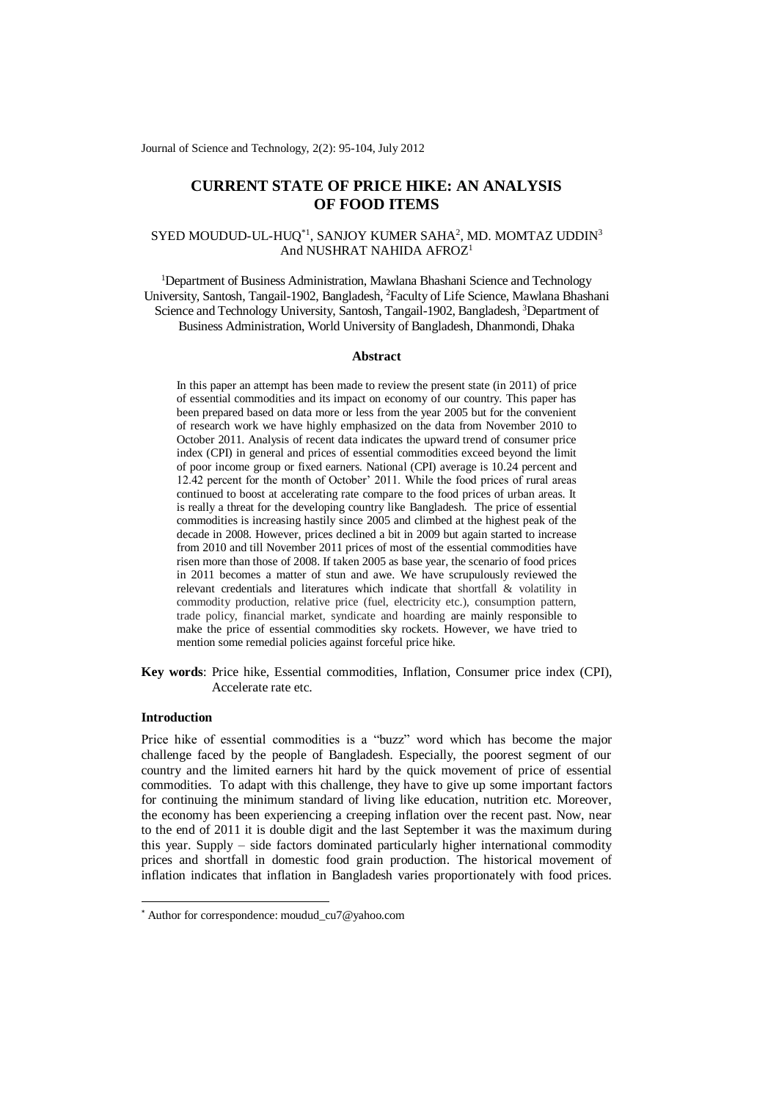Journal of Science and Technology, 2(2): 95-104, July 2012

# **CURRENT STATE OF PRICE HIKE: AN ANALYSIS OF FOOD ITEMS**

# ${\rm SYED}$  MOUDUD-UL-HUQ ${}^{*1}$ , SANJOY KUMER SAHA ${}^{2}$ , MD. MOMTAZ UDDIN ${}^{3}$ And NUSHRAT NAHIDA AFROZ<sup>1</sup>

<sup>1</sup>Department of Business Administration, Mawlana Bhashani Science and Technology University, Santosh, Tangail-1902, Bangladesh, <sup>2</sup>Faculty of Life Science, Mawlana Bhashani Science and Technology University, Santosh, Tangail-1902, Bangladesh, <sup>3</sup>Department of Business Administration, World University of Bangladesh, Dhanmondi, Dhaka

## **Abstract**

In this paper an attempt has been made to review the present state (in 2011) of price of essential commodities and its impact on economy of our country. This paper has been prepared based on data more or less from the year 2005 but for the convenient of research work we have highly emphasized on the data from November 2010 to October 2011. Analysis of recent data indicates the upward trend of consumer price index (CPI) in general and prices of essential commodities exceed beyond the limit of poor income group or fixed earners. National (CPI) average is 10.24 percent and 12.42 percent for the month of October' 2011. While the food prices of rural areas continued to boost at accelerating rate compare to the food prices of urban areas. It is really a threat for the developing country like Bangladesh. The price of essential commodities is increasing hastily since 2005 and climbed at the highest peak of the decade in 2008. However, prices declined a bit in 2009 but again started to increase from 2010 and till November 2011 prices of most of the essential commodities have risen more than those of 2008. If taken 2005 as base year, the scenario of food prices in 2011 becomes a matter of stun and awe. We have scrupulously reviewed the relevant credentials and literatures which indicate that shortfall & volatility in commodity production, relative price (fuel, electricity etc.), consumption pattern, trade policy, financial market, syndicate and hoarding are mainly responsible to make the price of essential commodities sky rockets. However, we have tried to mention some remedial policies against forceful price hike.

**Key words**: Price hike, Essential commodities, Inflation, Consumer price index (CPI), Accelerate rate etc.

# **Introduction**

-

Price hike of essential commodities is a "buzz" word which has become the major challenge faced by the people of Bangladesh. Especially, the poorest segment of our country and the limited earners hit hard by the quick movement of price of essential commodities. To adapt with this challenge, they have to give up some important factors for continuing the minimum standard of living like education, nutrition etc. Moreover, the economy has been experiencing a creeping inflation over the recent past. Now, near to the end of 2011 it is double digit and the last September it was the maximum during this year. Supply – side factors dominated particularly higher international commodity prices and shortfall in domestic food grain production. The historical movement of inflation indicates that inflation in Bangladesh varies proportionately with food prices.

<sup>\*</sup> Author for correspondence: moudud\_cu7@yahoo.com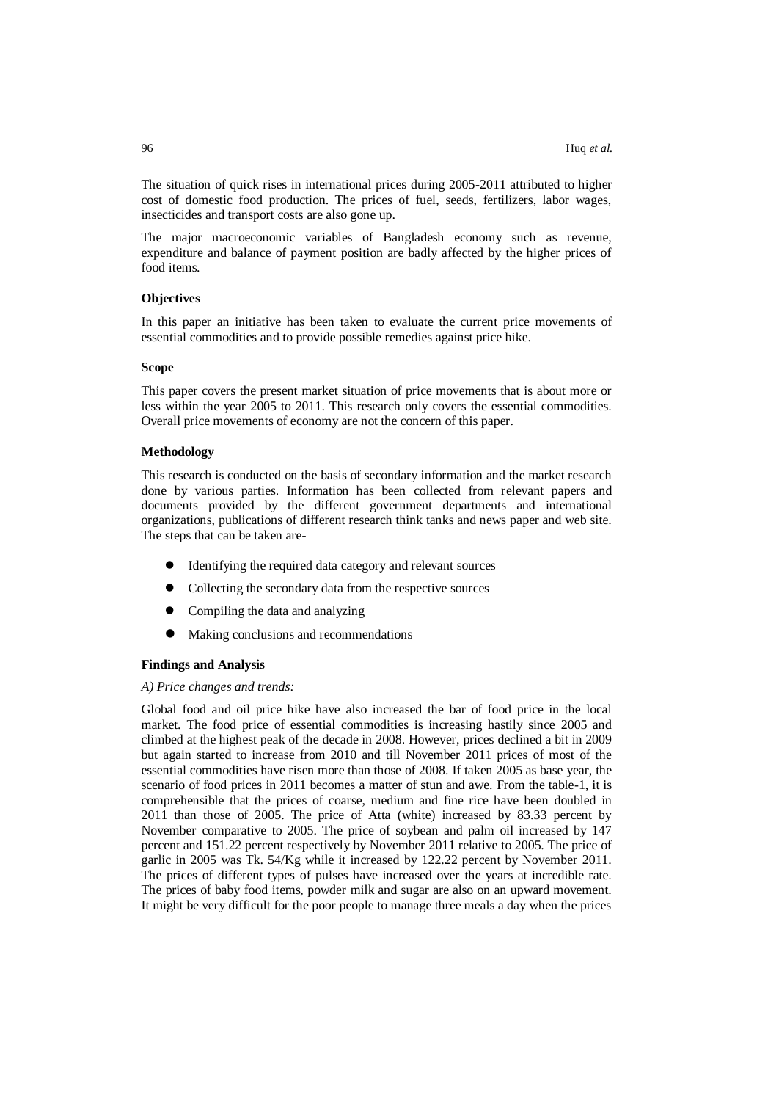The situation of quick rises in international prices during 2005-2011 attributed to higher cost of domestic food production. The prices of fuel, seeds, fertilizers, labor wages, insecticides and transport costs are also gone up.

The major macroeconomic variables of Bangladesh economy such as revenue, expenditure and balance of payment position are badly affected by the higher prices of food items.

## **Objectives**

In this paper an initiative has been taken to evaluate the current price movements of essential commodities and to provide possible remedies against price hike.

## **Scope**

This paper covers the present market situation of price movements that is about more or less within the year 2005 to 2011. This research only covers the essential commodities. Overall price movements of economy are not the concern of this paper.

## **Methodology**

This research is conducted on the basis of secondary information and the market research done by various parties. Information has been collected from relevant papers and documents provided by the different government departments and international organizations, publications of different research think tanks and news paper and web site. The steps that can be taken are-

- Identifying the required data category and relevant sources
- Collecting the secondary data from the respective sources
- Compiling the data and analyzing
- Making conclusions and recommendations

### **Findings and Analysis**

#### *A) Price changes and trends:*

Global food and oil price hike have also increased the bar of food price in the local market. The food price of essential commodities is increasing hastily since 2005 and climbed at the highest peak of the decade in 2008. However, prices declined a bit in 2009 but again started to increase from 2010 and till November 2011 prices of most of the essential commodities have risen more than those of 2008. If taken 2005 as base year, the scenario of food prices in 2011 becomes a matter of stun and awe. From the table-1, it is comprehensible that the prices of coarse, medium and fine rice have been doubled in 2011 than those of 2005. The price of Atta (white) increased by 83.33 percent by November comparative to 2005. The price of soybean and palm oil increased by 147 percent and 151.22 percent respectively by November 2011 relative to 2005. The price of garlic in 2005 was Tk. 54/Kg while it increased by 122.22 percent by November 2011. The prices of different types of pulses have increased over the years at incredible rate. The prices of baby food items, powder milk and sugar are also on an upward movement. It might be very difficult for the poor people to manage three meals a day when the prices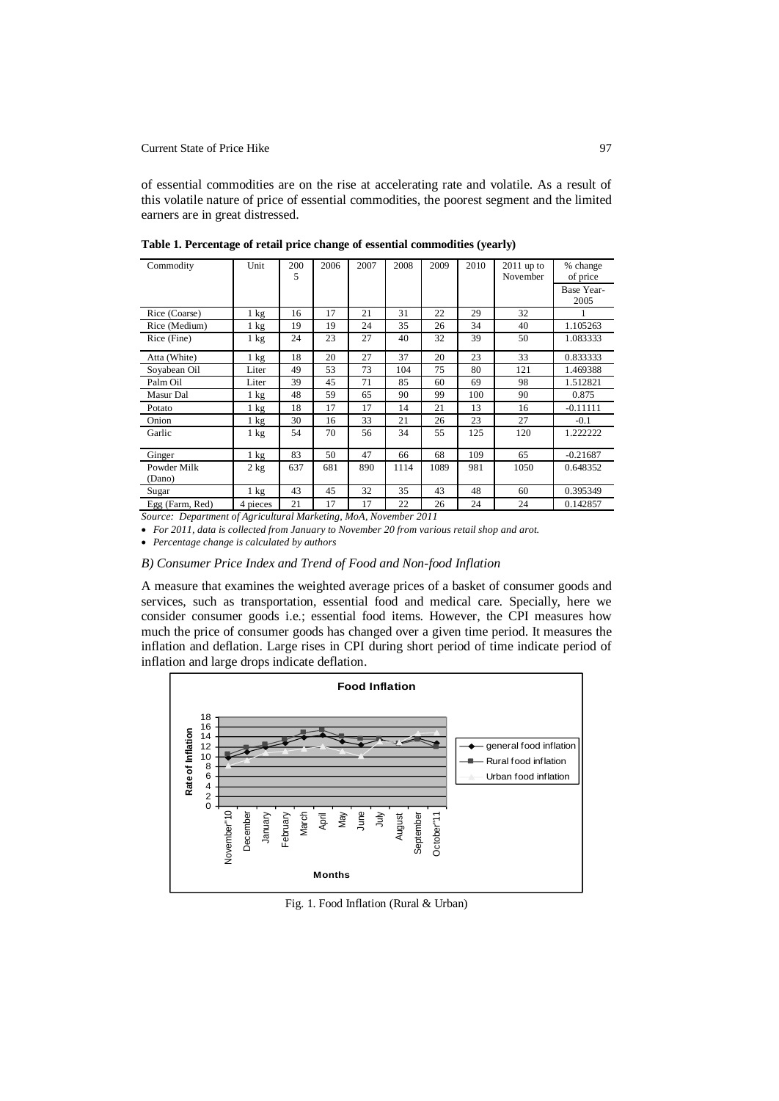Current State of Price Hike 97

of essential commodities are on the rise at accelerating rate and volatile. As a result of this volatile nature of price of essential commodities, the poorest segment and the limited earners are in great distressed.

| Commodity             | Unit           | 200<br>5 | 2006 | 2007 | 2008 | 2009 | 2010 | $2011$ up to<br>November | % change<br>of price |
|-----------------------|----------------|----------|------|------|------|------|------|--------------------------|----------------------|
|                       |                |          |      |      |      |      |      |                          | Base Year-<br>2005   |
| Rice (Coarse)         | $1 \text{ kg}$ | 16       | 17   | 21   | 31   | 22   | 29   | 32                       |                      |
| Rice (Medium)         | $1 \text{ kg}$ | 19       | 19   | 24   | 35   | 26   | 34   | 40                       | 1.105263             |
| Rice (Fine)           | $1 \text{ kg}$ | 24       | 23   | 27   | 40   | 32   | 39   | 50                       | 1.083333             |
| Atta (White)          | $1 \text{ kg}$ | 18       | 20   | 27   | 37   | 20   | 23   | 33                       | 0.833333             |
| Soyabean Oil          | Liter          | 49       | 53   | 73   | 104  | 75   | 80   | 121                      | 1.469388             |
| Palm Oil              | Liter          | 39       | 45   | 71   | 85   | 60   | 69   | 98                       | 1.512821             |
| Masur Dal             | $1 \text{ kg}$ | 48       | 59   | 65   | 90   | 99   | 100  | 90                       | 0.875                |
| Potato                | 1 kg           | 18       | 17   | 17   | 14   | 21   | 13   | 16                       | $-0.11111$           |
| Onion                 | $1 \text{ kg}$ | 30       | 16   | 33   | 21   | 26   | 23   | 27                       | $-0.1$               |
| Garlic                | 1 kg           | 54       | 70   | 56   | 34   | 55   | 125  | 120                      | 1.222222             |
| Ginger                | $1 \text{ kg}$ | 83       | 50   | 47   | 66   | 68   | 109  | 65                       | $-0.21687$           |
| Powder Milk<br>(Dano) | 2 kg           | 637      | 681  | 890  | 1114 | 1089 | 981  | 1050                     | 0.648352             |
| Sugar                 | $1 \text{ kg}$ | 43       | 45   | 32   | 35   | 43   | 48   | 60                       | 0.395349             |
| Egg (Farm, Red)       | 4 pieces       | 21       | 17   | 17   | 22   | 26   | 24   | 24                       | 0.142857             |

**Table 1. Percentage of retail price change of essential commodities (yearly)**

*Source: Department of Agricultural Marketing, MoA, November 2011*

*For 2011, data is collected from January to November 20 from various retail shop and arot.* 

*Percentage change is calculated by authors*

# *B) Consumer Price Index and Trend of Food and Non-food Inflation*

A measure that examines the weighted average prices of a basket of consumer goods and services, such as transportation, essential food and medical care. Specially, here we consider consumer goods i.e.; essential food items. However, the CPI measures how much the price of consumer goods has changed over a given time period. It measures the inflation and deflation. Large rises in CPI during short period of time indicate period of inflation and large drops indicate deflation.



Fig. 1. Food Inflation (Rural & Urban)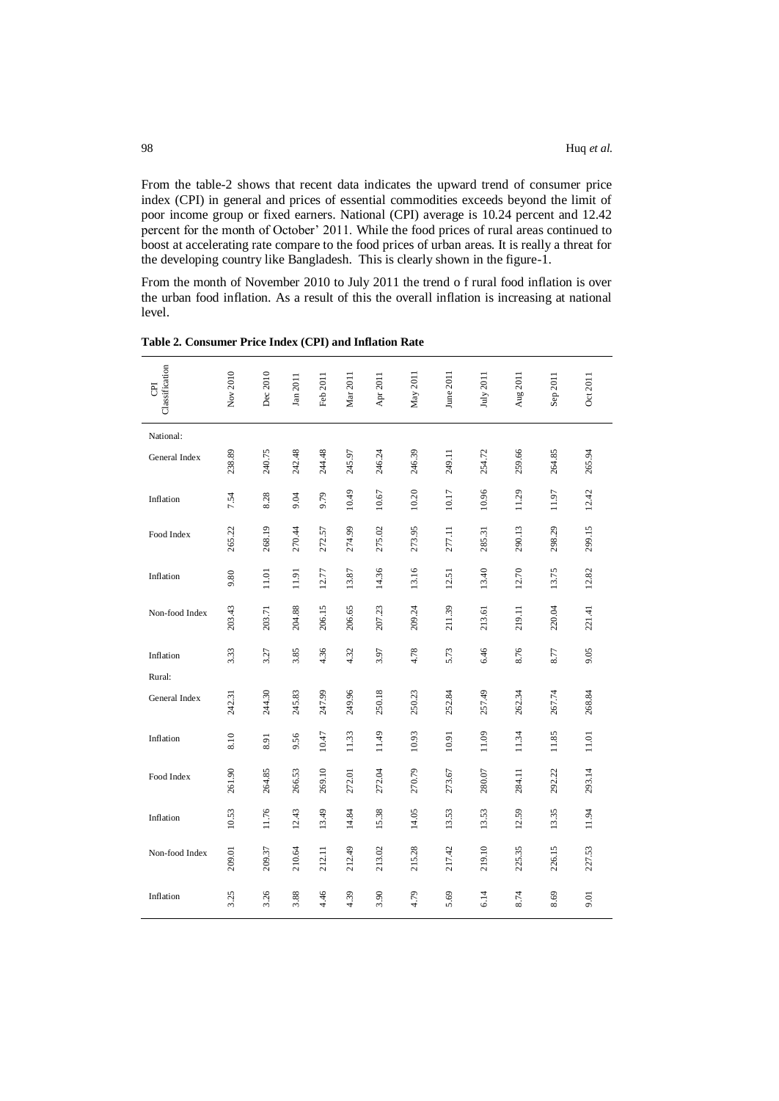From the table-2 shows that recent data indicates the upward trend of consumer price index (CPI) in general and prices of essential commodities exceeds beyond the limit of poor income group or fixed earners. National (CPI) average is 10.24 percent and 12.42 percent for the month of October' 2011. While the food prices of rural areas continued to boost at accelerating rate compare to the food prices of urban areas. It is really a threat for the developing country like Bangladesh. This is clearly shown in the figure-1.

From the month of November 2010 to July 2011 the trend o f rural food inflation is over the urban food inflation. As a result of this the overall inflation is increasing at national level.

| Classification<br>E | Nov 2010 | Dec 2010 | Jan 2011 | Feb 2011 | Mar 2011 | Apr 2011 | May 2011 | June 2011 | July 2011 | Aug 2011 | Sep 2011 | Oct 2011 |
|---------------------|----------|----------|----------|----------|----------|----------|----------|-----------|-----------|----------|----------|----------|
| National:           |          |          |          |          |          |          |          |           |           |          |          |          |
| General Index       | 238.89   | 240.75   | 242.48   | 244.48   | 245.97   | 246.24   | 246.39   | 249.11    | 254.72    | 259.66   | 264.85   | 265.94   |
| Inflation           | 7.54     | 8.28     | 9.04     | 9.79     | 10.49    | 10.67    | 10.20    | 10.17     | 10.96     | 11.29    | 11.97    | 12.42    |
| Food Index          | 265.22   | 268.19   | 270.44   | 272.57   | 274.99   | 275.02   | 273.95   | 277.11    | 285.31    | 290.13   | 298.29   | 299.15   |
| Inflation           | 9.80     | 11.01    | 11.91    | 12.77    | 13.87    | 14.36    | 13.16    | 12.51     | 13.40     | 12.70    | 13.75    | 12.82    |
| Non-food Index      | 203.43   | 203.71   | 204.88   | 206.15   | 206.65   | 207.23   | 209.24   | 211.39    | 213.61    | 219.11   | 220.04   | 221.41   |
| Inflation           | 3.33     | 3.27     | 3.85     | 4.36     | 4.32     | 3.97     | 4.78     | 5.73      | 6.46      | 8.76     | 8.77     | 9.05     |
| Rural:              |          |          |          |          |          |          |          |           |           |          |          |          |
| General Index       | 242.31   | 244.30   | 245.83   | 247.99   | 249.96   | 250.18   | 250.23   | 252.84    | 257.49    | 262.34   | 267.74   | 268.84   |
| Inflation           | 8.10     | 8.91     | 9.56     | 10.47    | 11.33    | 11.49    | 10.93    | 10.91     | 11.09     | 11.34    | 11.85    | 11.01    |
| Food Index          | 261.90   | 264.85   | 266.53   | 269.10   | 272.01   | 272.04   | 270.79   | 273.67    | 280.07    | 284.11   | 292.22   | 293.14   |
| Inflation           | 10.53    | 11.76    | 12.43    | 13.49    | 14.84    | 15.38    | 14.05    | 13.53     | 13.53     | 12.59    | 13.35    | 11.94    |
| Non-food Index      | 209.01   | 209.37   | 210.64   | 212.11   | 212.49   | 213.02   | 215.28   | 217.42    | 219.10    | 225.35   | 226.15   | 227.53   |
| Inflation           | 3.25     | 3.26     | 3.88     | 4.46     | 4.39     | 3.90     | 4.79     | 5.69      | 6.14      | 8.74     | 8.69     | 9.01     |

**Table 2. Consumer Price Index (CPI) and Inflation Rate**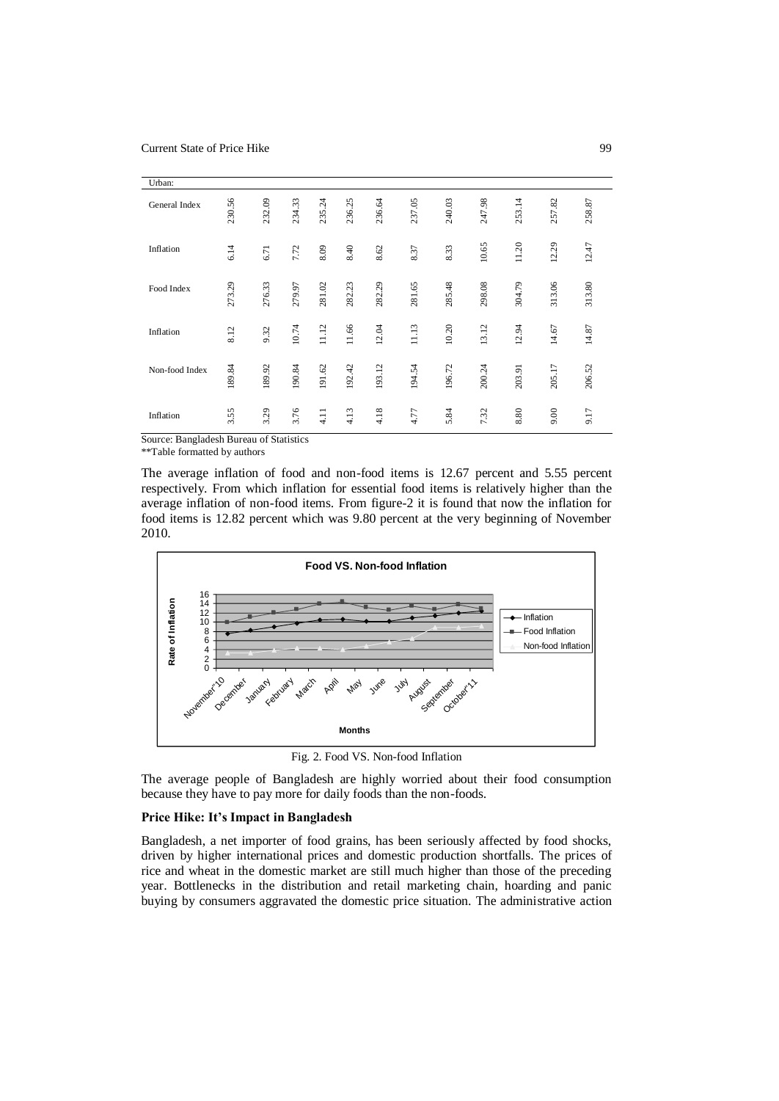| Urban:         |        |        |        |        |        |        |        |        |        |        |        |        |
|----------------|--------|--------|--------|--------|--------|--------|--------|--------|--------|--------|--------|--------|
| General Index  | 230.56 | 232.09 | 234.33 | 235.24 | 236.25 | 236.64 | 237.05 | 240.03 | 247.98 | 253.14 | 257.82 | 258.87 |
| Inflation      | 6.14   | 6.71   | 7.72   | 8.09   | 8.40   | 8.62   | 8.37   | 8.33   | 10.65  | 11.20  | 12.29  | 12.47  |
| Food Index     | 273.29 | 276.33 | 279.97 | 281.02 | 282.23 | 282.29 | 281.65 | 285.48 | 298.08 | 304.79 | 313.06 | 313.80 |
| Inflation      | 8.12   | 9.32   | 10.74  | 11.12  | 11.66  | 12.04  | 11.13  | 10.20  | 13.12  | 12.94  | 14.67  | 14.87  |
| Non-food Index | 189.84 | 189.92 | 190.84 | 191.62 | 192.42 | 193.12 | 194.54 | 196.72 | 200.24 | 203.91 | 205.17 | 206.52 |
| Inflation      | 3.55   | 3.29   | 3.76   | 4.11   | 4.13   | 4.18   | 4.77   | 5.84   | 7.32   | 8.80   | 9.00   | 9.17   |

Source: Bangladesh Bureau of Statistics

\*\*Table formatted by authors

The average inflation of food and non-food items is 12.67 percent and 5.55 percent respectively. From which inflation for essential food items is relatively higher than the average inflation of non-food items. From figure-2 it is found that now the inflation for food items is 12.82 percent which was 9.80 percent at the very beginning of November 2010.



Fig. 2. Food VS. Non-food Inflation

The average people of Bangladesh are highly worried about their food consumption because they have to pay more for daily foods than the non-foods.

### **Price Hike: It's Impact in Bangladesh**

Bangladesh, a net importer of food grains, has been seriously affected by food shocks, driven by higher international prices and domestic production shortfalls. The prices of rice and wheat in the domestic market are still much higher than those of the preceding year. Bottlenecks in the distribution and retail marketing chain, hoarding and panic buying by consumers aggravated the domestic price situation. The administrative action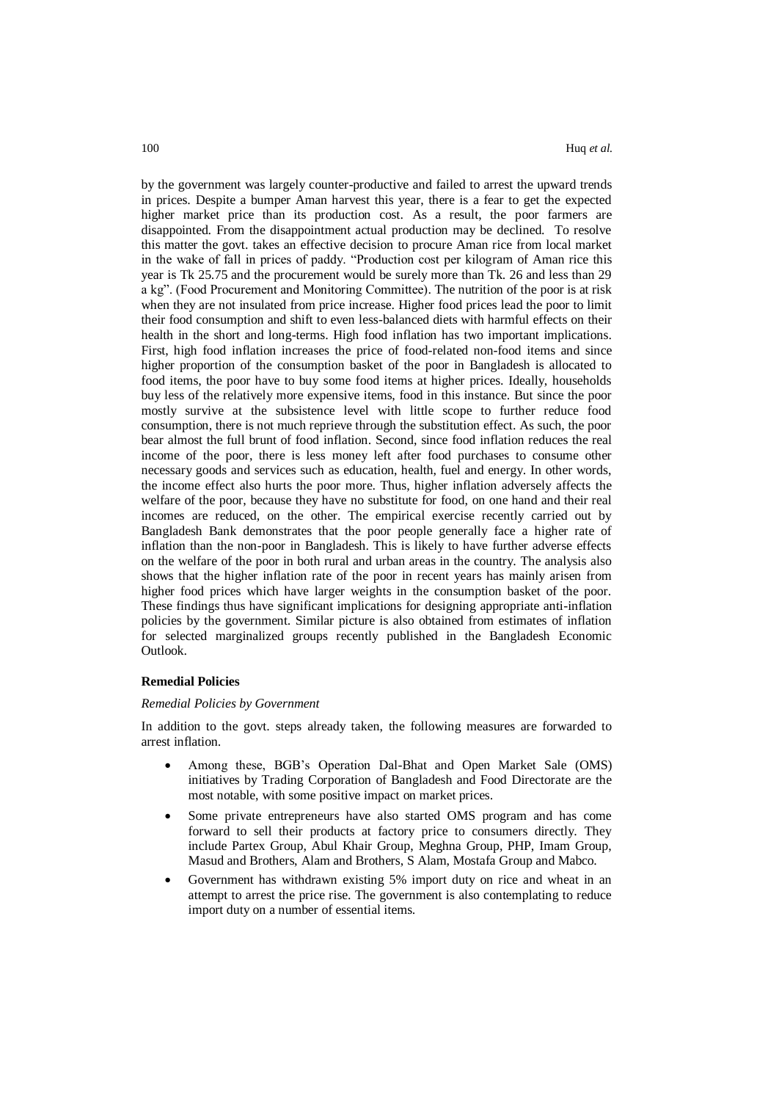by the government was largely counter-productive and failed to arrest the upward trends in prices. Despite a bumper Aman harvest this year, there is a fear to get the expected higher market price than its production cost. As a result, the poor farmers are disappointed. From the disappointment actual production may be declined. To resolve this matter the govt. takes an effective decision to procure Aman rice from local market in the wake of fall in prices of paddy. "Production cost per kilogram of Aman rice this year is Tk 25.75 and the procurement would be surely more than Tk. 26 and less than 29 a kg". (Food Procurement and Monitoring Committee). The nutrition of the poor is at risk when they are not insulated from price increase. Higher food prices lead the poor to limit their food consumption and shift to even less-balanced diets with harmful effects on their health in the short and long-terms. High food inflation has two important implications. First, high food inflation increases the price of food-related non-food items and since higher proportion of the consumption basket of the poor in Bangladesh is allocated to food items, the poor have to buy some food items at higher prices. Ideally, households buy less of the relatively more expensive items, food in this instance. But since the poor mostly survive at the subsistence level with little scope to further reduce food consumption, there is not much reprieve through the substitution effect. As such, the poor bear almost the full brunt of food inflation. Second, since food inflation reduces the real income of the poor, there is less money left after food purchases to consume other necessary goods and services such as education, health, fuel and energy. In other words, the income effect also hurts the poor more. Thus, higher inflation adversely affects the welfare of the poor, because they have no substitute for food, on one hand and their real incomes are reduced, on the other. The empirical exercise recently carried out by Bangladesh Bank demonstrates that the poor people generally face a higher rate of inflation than the non-poor in Bangladesh. This is likely to have further adverse effects on the welfare of the poor in both rural and urban areas in the country. The analysis also shows that the higher inflation rate of the poor in recent years has mainly arisen from higher food prices which have larger weights in the consumption basket of the poor. These findings thus have significant implications for designing appropriate anti-inflation policies by the government. Similar picture is also obtained from estimates of inflation for selected marginalized groups recently published in the Bangladesh Economic Outlook.

#### **Remedial Policies**

#### *Remedial Policies by Government*

In addition to the govt. steps already taken, the following measures are forwarded to arrest inflation.

- Among these, BGB's Operation Dal-Bhat and Open Market Sale (OMS) initiatives by Trading Corporation of Bangladesh and Food Directorate are the most notable, with some positive impact on market prices.
- Some private entrepreneurs have also started OMS program and has come forward to sell their products at factory price to consumers directly. They include Partex Group, Abul Khair Group, Meghna Group, PHP, Imam Group, Masud and Brothers, Alam and Brothers, S Alam, Mostafa Group and Mabco.
- Government has withdrawn existing 5% import duty on rice and wheat in an attempt to arrest the price rise. The government is also contemplating to reduce import duty on a number of essential items.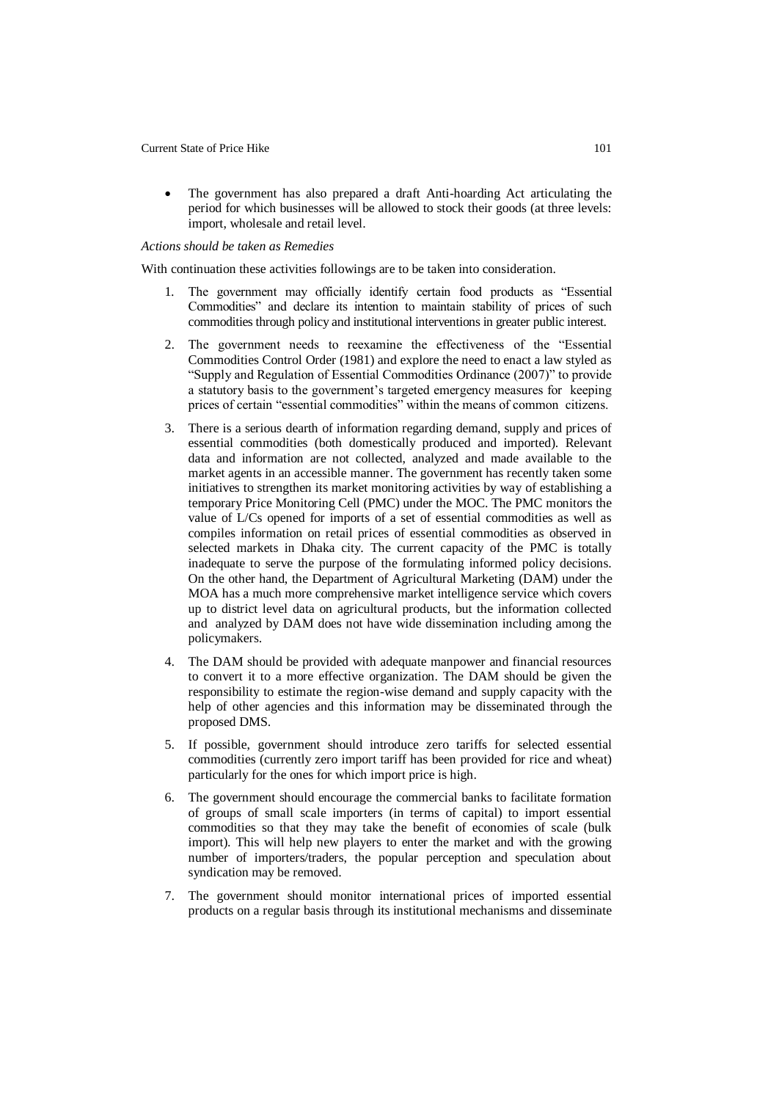The government has also prepared a draft Anti-hoarding Act articulating the period for which businesses will be allowed to stock their goods (at three levels: import, wholesale and retail level.

### *Actions should be taken as Remedies*

With continuation these activities followings are to be taken into consideration.

- 1. The government may officially identify certain food products as "Essential Commodities" and declare its intention to maintain stability of prices of such commodities through policy and institutional interventions in greater public interest.
- 2. The government needs to reexamine the effectiveness of the "Essential Commodities Control Order (1981) and explore the need to enact a law styled as "Supply and Regulation of Essential Commodities Ordinance (2007)" to provide a statutory basis to the government's targeted emergency measures for keeping prices of certain "essential commodities" within the means of common citizens.
- 3. There is a serious dearth of information regarding demand, supply and prices of essential commodities (both domestically produced and imported). Relevant data and information are not collected, analyzed and made available to the market agents in an accessible manner. The government has recently taken some initiatives to strengthen its market monitoring activities by way of establishing a temporary Price Monitoring Cell (PMC) under the MOC. The PMC monitors the value of L/Cs opened for imports of a set of essential commodities as well as compiles information on retail prices of essential commodities as observed in selected markets in Dhaka city. The current capacity of the PMC is totally inadequate to serve the purpose of the formulating informed policy decisions. On the other hand, the Department of Agricultural Marketing (DAM) under the MOA has a much more comprehensive market intelligence service which covers up to district level data on agricultural products, but the information collected and analyzed by DAM does not have wide dissemination including among the policymakers.
- 4. The DAM should be provided with adequate manpower and financial resources to convert it to a more effective organization. The DAM should be given the responsibility to estimate the region-wise demand and supply capacity with the help of other agencies and this information may be disseminated through the proposed DMS.
- 5. If possible, government should introduce zero tariffs for selected essential commodities (currently zero import tariff has been provided for rice and wheat) particularly for the ones for which import price is high.
- 6. The government should encourage the commercial banks to facilitate formation of groups of small scale importers (in terms of capital) to import essential commodities so that they may take the benefit of economies of scale (bulk import). This will help new players to enter the market and with the growing number of importers/traders, the popular perception and speculation about syndication may be removed.
- 7. The government should monitor international prices of imported essential products on a regular basis through its institutional mechanisms and disseminate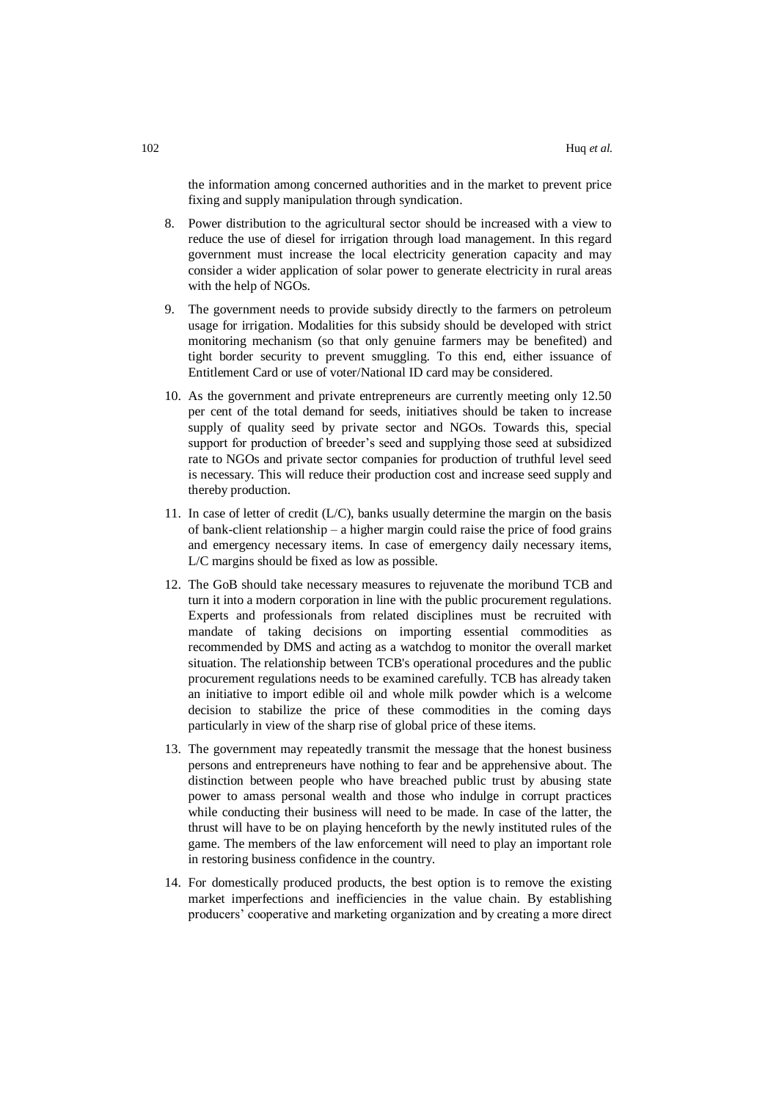the information among concerned authorities and in the market to prevent price fixing and supply manipulation through syndication.

- 8. Power distribution to the agricultural sector should be increased with a view to reduce the use of diesel for irrigation through load management. In this regard government must increase the local electricity generation capacity and may consider a wider application of solar power to generate electricity in rural areas with the help of NGOs.
- 9. The government needs to provide subsidy directly to the farmers on petroleum usage for irrigation. Modalities for this subsidy should be developed with strict monitoring mechanism (so that only genuine farmers may be benefited) and tight border security to prevent smuggling. To this end, either issuance of Entitlement Card or use of voter/National ID card may be considered.
- 10. As the government and private entrepreneurs are currently meeting only 12.50 per cent of the total demand for seeds, initiatives should be taken to increase supply of quality seed by private sector and NGOs. Towards this, special support for production of breeder's seed and supplying those seed at subsidized rate to NGOs and private sector companies for production of truthful level seed is necessary. This will reduce their production cost and increase seed supply and thereby production.
- 11. In case of letter of credit (L/C), banks usually determine the margin on the basis of bank-client relationship – a higher margin could raise the price of food grains and emergency necessary items. In case of emergency daily necessary items, L/C margins should be fixed as low as possible.
- 12. The GoB should take necessary measures to rejuvenate the moribund TCB and turn it into a modern corporation in line with the public procurement regulations. Experts and professionals from related disciplines must be recruited with mandate of taking decisions on importing essential commodities as recommended by DMS and acting as a watchdog to monitor the overall market situation. The relationship between TCB's operational procedures and the public procurement regulations needs to be examined carefully. TCB has already taken an initiative to import edible oil and whole milk powder which is a welcome decision to stabilize the price of these commodities in the coming days particularly in view of the sharp rise of global price of these items.
- 13. The government may repeatedly transmit the message that the honest business persons and entrepreneurs have nothing to fear and be apprehensive about. The distinction between people who have breached public trust by abusing state power to amass personal wealth and those who indulge in corrupt practices while conducting their business will need to be made. In case of the latter, the thrust will have to be on playing henceforth by the newly instituted rules of the game. The members of the law enforcement will need to play an important role in restoring business confidence in the country.
- 14. For domestically produced products, the best option is to remove the existing market imperfections and inefficiencies in the value chain. By establishing producers' cooperative and marketing organization and by creating a more direct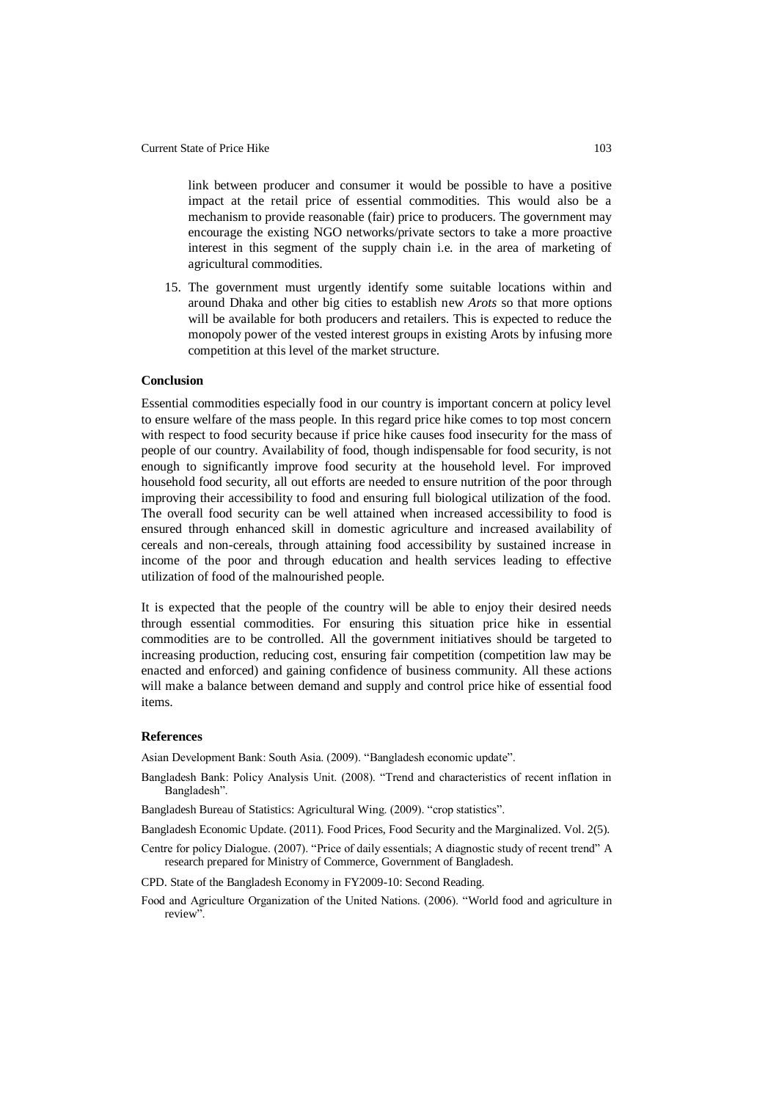link between producer and consumer it would be possible to have a positive impact at the retail price of essential commodities. This would also be a mechanism to provide reasonable (fair) price to producers. The government may encourage the existing NGO networks/private sectors to take a more proactive interest in this segment of the supply chain i.e. in the area of marketing of agricultural commodities.

15. The government must urgently identify some suitable locations within and around Dhaka and other big cities to establish new *Arots* so that more options will be available for both producers and retailers. This is expected to reduce the monopoly power of the vested interest groups in existing Arots by infusing more competition at this level of the market structure.

#### **Conclusion**

Essential commodities especially food in our country is important concern at policy level to ensure welfare of the mass people. In this regard price hike comes to top most concern with respect to food security because if price hike causes food insecurity for the mass of people of our country. Availability of food, though indispensable for food security, is not enough to significantly improve food security at the household level. For improved household food security, all out efforts are needed to ensure nutrition of the poor through improving their accessibility to food and ensuring full biological utilization of the food. The overall food security can be well attained when increased accessibility to food is ensured through enhanced skill in domestic agriculture and increased availability of cereals and non-cereals, through attaining food accessibility by sustained increase in income of the poor and through education and health services leading to effective utilization of food of the malnourished people.

It is expected that the people of the country will be able to enjoy their desired needs through essential commodities. For ensuring this situation price hike in essential commodities are to be controlled. All the government initiatives should be targeted to increasing production, reducing cost, ensuring fair competition (competition law may be enacted and enforced) and gaining confidence of business community. All these actions will make a balance between demand and supply and control price hike of essential food items.

### **References**

Asian Development Bank: South Asia. (2009). "Bangladesh economic update".

- Bangladesh Bank: Policy Analysis Unit. (2008). "Trend and characteristics of recent inflation in Bangladesh".
- Bangladesh Bureau of Statistics: Agricultural Wing. (2009). "crop statistics".
- Bangladesh Economic Update. (2011). Food Prices, Food Security and the Marginalized. Vol. 2(5).
- Centre for policy Dialogue. (2007). "Price of daily essentials; A diagnostic study of recent trend" A research prepared for Ministry of Commerce, Government of Bangladesh.
- CPD. State of the Bangladesh Economy in FY2009-10: Second Reading.
- Food and Agriculture Organization of the United Nations. (2006). "World food and agriculture in review".